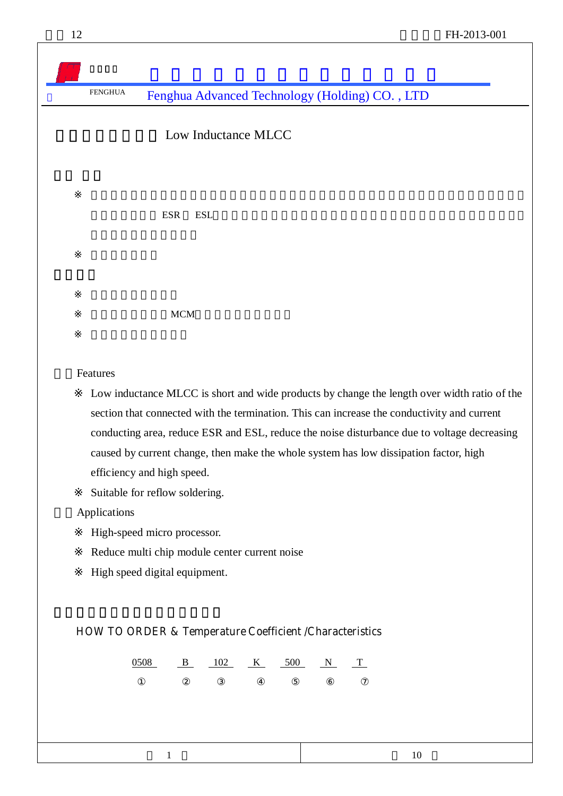Low Inductance MLCC

导电面积,降低 ESR ESL,减少电流变化的电压下降引起的电压干扰。从而使系统达到低损耗、高

**MCM** 

**Features** 

 Low inductance MLCC is short and wide products by change the length over width ratio of the section that connected with the termination. This can increase the conductivity and current conducting area, reduce ESR and ESL, reduce the noise disturbance due to voltage decreasing caused by current change, then make the whole system has low dissipation factor, high efficiency and high speed.

Suitable for reflow soldering.

二、Applications

High-speed micro processor.

Reduce multi chip module center current noise

High speed digital equipment.

### **HOW TO ORDER & Temperature Coefficient /Characteristics**

0508 B 102 K 500 N T

 $1$  10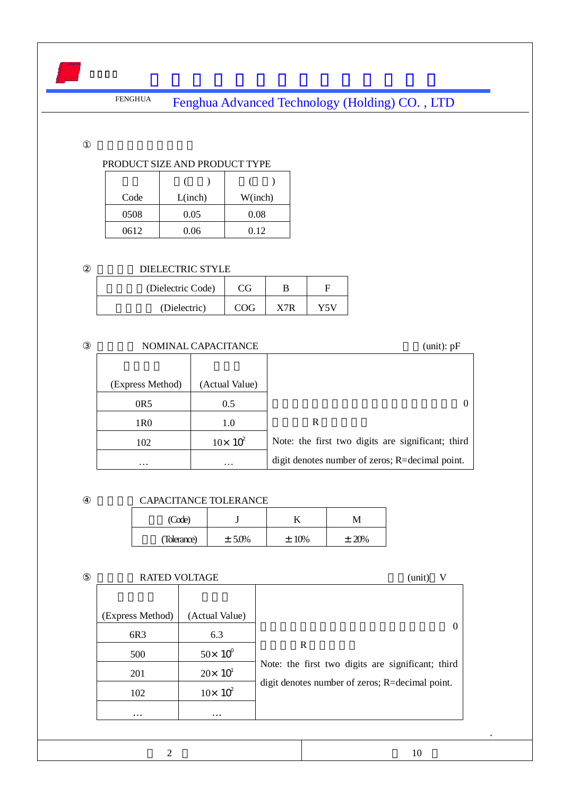#### PRODUCT SIZE AND PRODUCT TYPE

| Code | L(inch) | W(inch) |
|------|---------|---------|
| 0508 | 0.05    | 0.08    |
| 0612 | 0.06    | 0.12    |

### DIELECTRIC STYLE

| (Dielectric Code) | CG.        |     |     |
|-------------------|------------|-----|-----|
| (Dielectric)      | <b>COG</b> | V7D | V5V |

### NOMINAL CAPACITANCE (unit): pF (Express Method) (Actual Value) 0R5 0.5 1R0 1.0 102  $10 \times 10^2$ … … … … … … …  $\sim$ R strategies and R Note: the first two digits are significant; third digit denotes number of zeros; R=decimal point.

### CAPACITANCE TOLERANCE

| (Code)      |           |         |          |
|-------------|-----------|---------|----------|
| (Tolerance) | $± 5.0\%$ | $±10\%$ | $± 20\%$ |

### RATED VOLTAGE  $\qquad \qquad$  (unit) V

|                  | $19.11 \text{m}$ , 90.11.190 | $($ umu                                           |
|------------------|------------------------------|---------------------------------------------------|
| (Express Method) | (Actual Value)               |                                                   |
| 6R3              | 6.3                          | $\theta$                                          |
| 500              | $50 \times 10^{9}$           | R                                                 |
| 201              | $20 \times 10^{1}$           | Note: the first two digits are significant; third |
| 102              | $10 \times 10^2$             | digit denotes number of zeros; R=decimal point.   |
| $\cdots$         | $\cdots$                     |                                                   |

.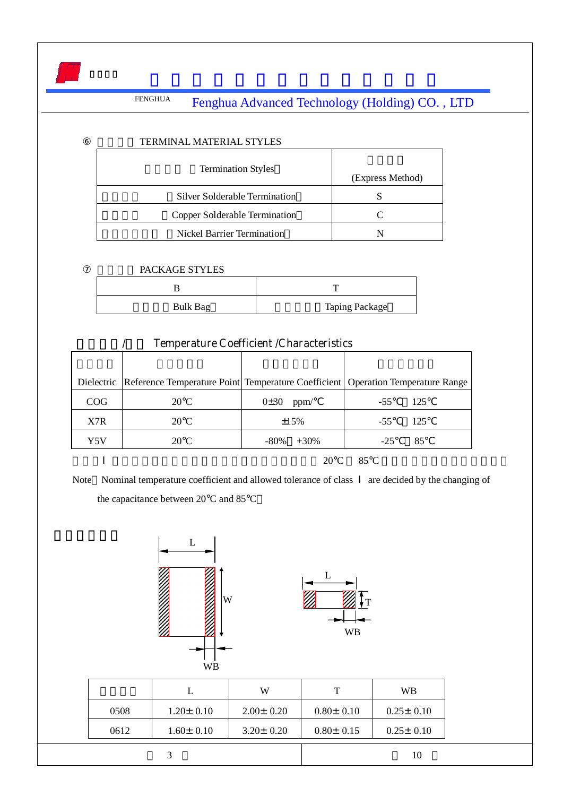| <b>TERMINAL MATERIAL STYLES</b> |                  |
|---------------------------------|------------------|
| <b>Termination Styles</b>       | (Express Method) |
| Silver Solderable Termination   |                  |
| Copper Solderable Termination   |                  |
| Nickel Barrier Termination      |                  |

### PACKAGE STYLES

| Bulk Bag | <b>Taping Package</b> |
|----------|-----------------------|

|     |                | <b>Temperature Coefficient /Characteristics</b> |                                                                                              |
|-----|----------------|-------------------------------------------------|----------------------------------------------------------------------------------------------|
|     |                |                                                 |                                                                                              |
|     |                |                                                 | Dielectric Reference Temperature Point Temperature Coefficient   Operation Temperature Range |
| COG | $20^{\circ}$ C | 0±30<br>ppm/                                    | -125<br>$-55$                                                                                |
| X7R | $20^{\circ}$ C | $\pm 15\%$                                      | 125<br>$-55$                                                                                 |
| Y5V | $20^{\circ}$ C | -80%<br>$+30\%$                                 | 85<br>-25                                                                                    |

### $20^{\circ}\text{C}$  85°C

Note Nominal temperature coefficient and allowed tolerance of class are decided by the changing of the capacitance between 20°C and 85°C



|      |                 | W               | т               | <b>WB</b>       |
|------|-----------------|-----------------|-----------------|-----------------|
| 0508 | $1.20 \pm 0.10$ | $2.00 \pm 0.20$ | $0.80 \pm 0.10$ | $0.25 \pm 0.10$ |
| 0612 | $1.60 \pm 0.10$ | $3.20 \pm 0.20$ | $0.80 \pm 0.15$ | $0.25 \pm 0.10$ |
|      |                 |                 |                 | 10              |

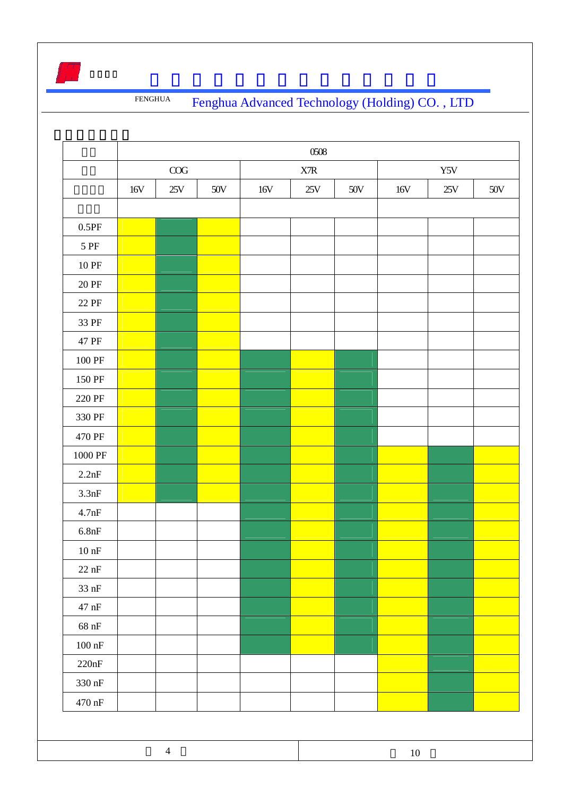|                     | 0508      |                |       |                           |     |     |        |     |       |
|---------------------|-----------|----------------|-------|---------------------------|-----|-----|--------|-----|-------|
|                     | $\rm COG$ |                |       | $\ensuremath{\text{XTR}}$ |     |     | Y5V    |     |       |
|                     | 16V       | 25V            | $50V$ | 16V                       | 25V | 50V | 16V    | 25V | $50V$ |
|                     |           |                |       |                           |     |     |        |     |       |
| 0.5PF               |           |                |       |                           |     |     |        |     |       |
| 5 PF                |           |                |       |                           |     |     |        |     |       |
| $10\ \mathrm{PF}$   |           |                |       |                           |     |     |        |     |       |
| <b>20 PF</b>        |           |                |       |                           |     |     |        |     |       |
| 22 PF               |           |                |       |                           |     |     |        |     |       |
| 33 PF               |           |                |       |                           |     |     |        |     |       |
| 47 PF               |           |                |       |                           |     |     |        |     |       |
| $100\ \mathrm{PF}$  |           |                |       |                           |     |     |        |     |       |
| 150 PF              |           |                |       |                           |     |     |        |     |       |
| 220 PF              |           |                |       |                           |     |     |        |     |       |
| 330 PF              |           |                |       |                           |     |     |        |     |       |
| 470 PF              |           |                |       |                           |     |     |        |     |       |
| $1000\ \mathrm{PF}$ |           |                |       |                           |     |     |        |     |       |
| 2.2nF               |           |                |       |                           |     |     |        |     |       |
| 3.3nF               |           |                |       |                           |     |     |        |     |       |
| 4.7nF               |           |                |       |                           |     |     |        |     |       |
| 6.8nF               |           |                |       |                           |     |     |        |     |       |
| $10\ \mathrm{nF}$   |           |                |       |                           |     |     |        |     |       |
| $22\ \mathrm{nF}$   |           |                |       |                           |     |     |        |     |       |
| $33\ \mathrm{nF}$   |           |                |       |                           |     |     |        |     |       |
| $47\ \mathrm{nF}$   |           |                |       |                           |     |     |        |     |       |
| $68~\mathrm{nF}$    |           |                |       |                           |     |     |        |     |       |
| $100\ \mathrm{nF}$  |           |                |       |                           |     |     |        |     |       |
| $220nF$             |           |                |       |                           |     |     |        |     |       |
| $330\ \mathrm{nF}$  |           |                |       |                           |     |     |        |     |       |
| $470\ \mathrm{nF}$  |           |                |       |                           |     |     |        |     |       |
|                     |           |                |       |                           |     |     |        |     |       |
|                     |           |                |       |                           |     |     |        |     |       |
|                     |           | $\overline{4}$ |       |                           |     |     | $10\,$ |     |       |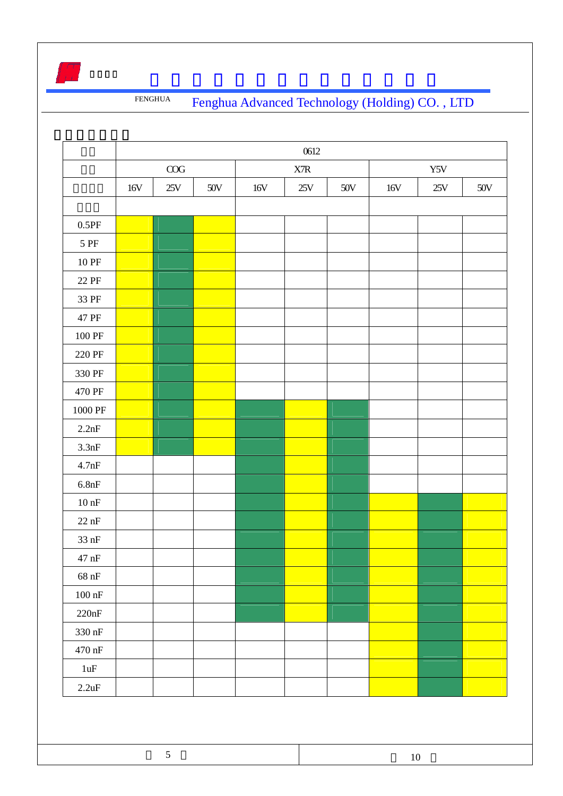

|                    |           |     |       |                           | 0612 |       |       |                |     |
|--------------------|-----------|-----|-------|---------------------------|------|-------|-------|----------------|-----|
|                    | $\rm COG$ |     |       | $\ensuremath{\text{XTR}}$ |      |       | Y5V   |                |     |
|                    | 16V       | 25V | $50V$ | 16V                       | 25V  | $50V$ | $16V$ | $25\mathrm{V}$ | 50V |
|                    |           |     |       |                           |      |       |       |                |     |
| $0.5\mathrm{PF}$   |           |     |       |                           |      |       |       |                |     |
| 5 PF               |           |     |       |                           |      |       |       |                |     |
| $10\ \mathrm{PF}$  |           |     |       |                           |      |       |       |                |     |
| $22\ \mathrm{PF}$  |           |     |       |                           |      |       |       |                |     |
| 33 PF              |           |     |       |                           |      |       |       |                |     |
| 47 PF              |           |     |       |                           |      |       |       |                |     |
| $100\ \mathrm{PF}$ |           |     |       |                           |      |       |       |                |     |
| 220 PF             |           |     |       |                           |      |       |       |                |     |
| 330 PF             |           |     |       |                           |      |       |       |                |     |
| 470 PF             |           |     |       |                           |      |       |       |                |     |
| 1000 PF            |           |     |       |                           |      |       |       |                |     |
| 2.2nF              |           |     |       |                           |      |       |       |                |     |
| 3.3nF              |           |     |       |                           |      |       |       |                |     |
| 4.7nF              |           |     |       |                           |      |       |       |                |     |
| $6.8nF$            |           |     |       |                           |      |       |       |                |     |
| $10\:\rm nF$       |           |     |       |                           |      |       |       |                |     |
| $22\ \mathrm{nF}$  |           |     |       |                           |      |       |       |                |     |
| $33$ nF            |           |     |       |                           |      |       |       |                |     |
| $47\ \mathrm{nF}$  |           |     |       |                           |      |       |       |                |     |
| $68~\rm nF$        |           |     |       |                           |      |       |       |                |     |
| $100\ \mathrm{nF}$ |           |     |       |                           |      |       |       |                |     |
| 220nF              |           |     |       |                           |      |       |       |                |     |
| 330 nF             |           |     |       |                           |      |       |       |                |     |
| $470\ \mathrm{nF}$ |           |     |       |                           |      |       |       |                |     |
| $1uF$              |           |     |       |                           |      |       |       |                |     |
| 2.2uF              |           |     |       |                           |      |       |       |                |     |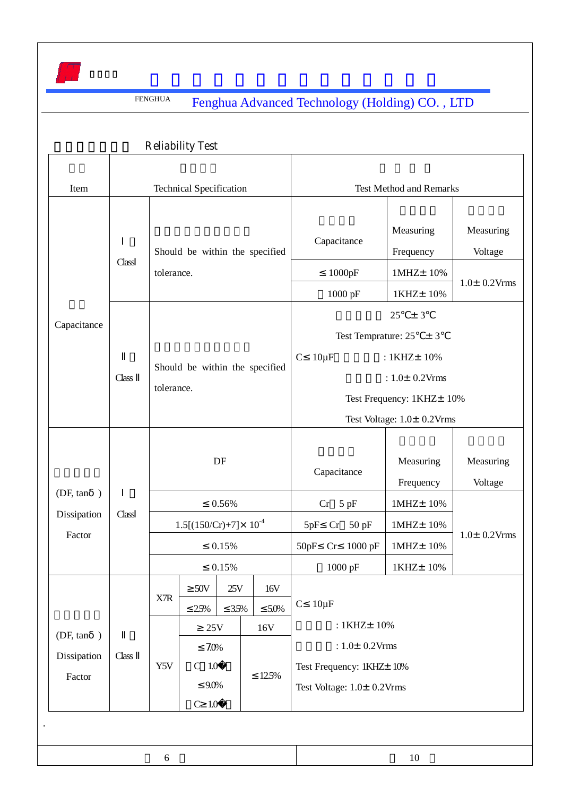

|                                    | <b>Reliability Test</b>                               |                                                                                                |             |             |                                                                                                |                                                                                                                                                                        |                                                       |                                           |                                                 |                                           |
|------------------------------------|-------------------------------------------------------|------------------------------------------------------------------------------------------------|-------------|-------------|------------------------------------------------------------------------------------------------|------------------------------------------------------------------------------------------------------------------------------------------------------------------------|-------------------------------------------------------|-------------------------------------------|-------------------------------------------------|-------------------------------------------|
| Item                               | <b>Technical Specification</b>                        |                                                                                                |             |             |                                                                                                |                                                                                                                                                                        | <b>Test Method and Remarks</b>                        |                                           |                                                 |                                           |
| Capacitance                        | Should be within the specified<br>Class<br>tolerance. |                                                                                                |             |             |                                                                                                |                                                                                                                                                                        |                                                       | Capacitance<br>1000pF<br>1000 pF          | Measuring<br>Frequency<br>1MHz±10%<br>1KHZ± 10% | Measuring<br>Voltage<br>$1.0\pm 0.2$ Vrms |
|                                    | Class                                                 | Should be within the specified<br>tolerance.                                                   |             |             |                                                                                                | 25<br>± 3<br>Test Temprature: $25 \pm 3$<br>$10\mu F$<br>$\mathbf C$<br>: 1KHZ± 10%<br>: $1.0 \pm 0.2$ Vrms<br>Test Frequency: 1KHZ± 10%<br>Test Voltage: 1.0± 0.2Vrms |                                                       |                                           |                                                 |                                           |
| (DF, tan)<br>Dissipation<br>Factor | Class                                                 | DF<br>0.56%<br>$1.5[(150/Cr)+7] \times 10^{-4}$                                                |             | 5pF         | $Cr$ 5 pF                                                                                      | Capacitance<br>$Cr$ 50 pF                                                                                                                                              | Measuring<br>Frequency<br>1MHz±10%<br>$1MHz \pm 10\%$ | Measuring<br>Voltage<br>$1.0\pm 0.2$ Vrms |                                                 |                                           |
|                                    |                                                       | 0.15%<br>0.15%                                                                                 |             |             |                                                                                                | 50pF                                                                                                                                                                   | Cr                                                    | $1000$ pF<br>1000 pF                      | 1MHZ± 10%<br>1KHZ± 10%                          |                                           |
| (DF, tan)<br>Dissipation<br>Factor | Class                                                 | X7R                                                                                            | 50V<br>2.5% | 25V<br>3.5% | 16V<br>5.0%                                                                                    |                                                                                                                                                                        | $C$ 10 $\mu$ F                                        |                                           |                                                 |                                           |
|                                    |                                                       | $25\mathrm{V}$<br>16V<br>7.0%<br>$C$ 1.0 $\mu$ F<br>Y5V<br>12.5%<br>$9.0\%$<br>$C$ 1.0 $\mu$ F |             |             | : 1KHZ± 10%<br>: $1.0 \pm 0.2$ Vrms<br>Test Frequency: 1KHZ± 10%<br>Test Voltage: 1.0± 0.2Vrms |                                                                                                                                                                        |                                                       |                                           |                                                 |                                           |
|                                    |                                                       |                                                                                                |             |             |                                                                                                |                                                                                                                                                                        |                                                       |                                           |                                                 |                                           |
| 6                                  |                                                       |                                                                                                |             |             |                                                                                                |                                                                                                                                                                        | 10                                                    |                                           |                                                 |                                           |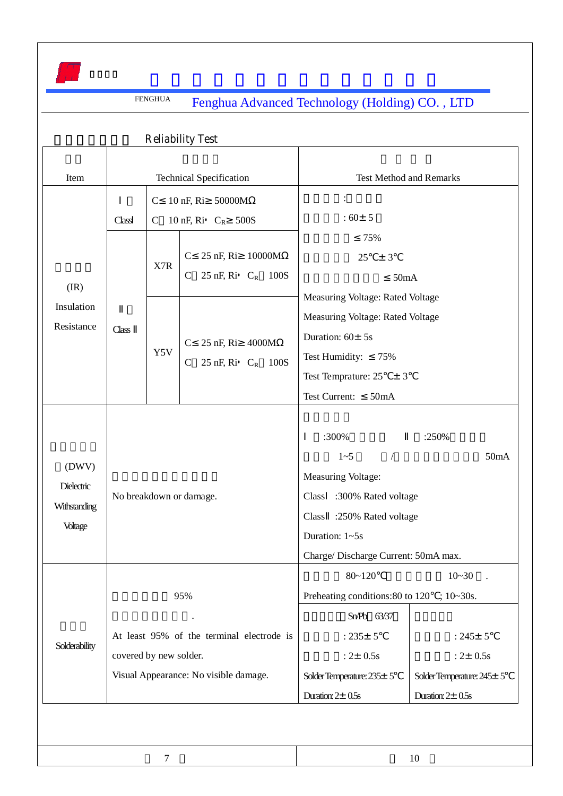

 $7$  and  $10$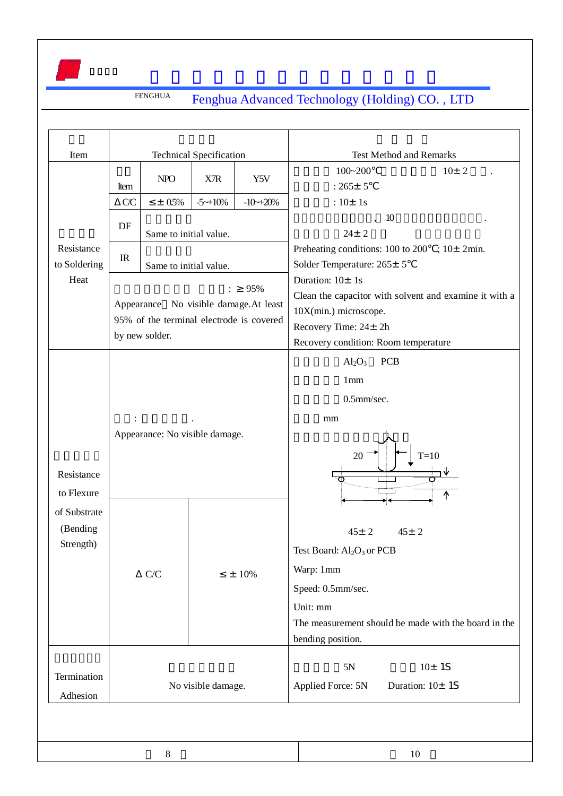

| Item                                                              | <b>Technical Specification</b> |                                          |                       |                               | <b>Test Method and Remarks</b>                                       |  |  |  |  |
|-------------------------------------------------------------------|--------------------------------|------------------------------------------|-----------------------|-------------------------------|----------------------------------------------------------------------|--|--|--|--|
|                                                                   |                                | <b>NPO</b>                               | X7R                   | Y5V<br>$-10 \rightarrow 20\%$ | $100 - 200$<br>10± 2                                                 |  |  |  |  |
|                                                                   | Item                           |                                          |                       |                               | $:265+5$                                                             |  |  |  |  |
|                                                                   | CC                             | $± 0.5\%$                                | $-5 \rightarrow 10\%$ |                               | : $10 \pm 1s$                                                        |  |  |  |  |
|                                                                   | DF<br>IR                       |                                          |                       |                               | 10<br>$\ddot{\phantom{0}}$                                           |  |  |  |  |
|                                                                   |                                | Same to initial value.                   |                       |                               | $24 \pm 2$<br>Preheating conditions: $100$ to $200$ ; $10\pm 2$ min. |  |  |  |  |
| Resistance<br>to Soldering<br>Heat                                |                                |                                          |                       |                               | Solder Temperature: 265± 5                                           |  |  |  |  |
|                                                                   |                                | Same to initial value.                   |                       |                               | Duration: $10 \pm 1s$                                                |  |  |  |  |
|                                                                   |                                |                                          | $\vdots$              | 95%                           | Clean the capacitor with solvent and examine it with a               |  |  |  |  |
|                                                                   |                                | Appearance No visible damage. At least   |                       |                               | 10X(min.) microscope.                                                |  |  |  |  |
|                                                                   |                                | 95% of the terminal electrode is covered |                       |                               | Recovery Time: 24± 2h                                                |  |  |  |  |
|                                                                   |                                | by new solder.                           |                       |                               | Recovery condition: Room temperature                                 |  |  |  |  |
|                                                                   |                                |                                          |                       |                               | $Al_2O_3$<br><b>PCB</b>                                              |  |  |  |  |
| Resistance<br>to Flexure<br>of Substrate<br>(Bending<br>Strength) |                                |                                          |                       |                               | 1mm                                                                  |  |  |  |  |
|                                                                   |                                |                                          |                       |                               | 0.5mm/sec.                                                           |  |  |  |  |
|                                                                   |                                |                                          |                       |                               | mm                                                                   |  |  |  |  |
|                                                                   |                                | Appearance: No visible damage.           |                       |                               | $T=10$<br>20<br>↑                                                    |  |  |  |  |
|                                                                   |                                |                                          |                       | $\pm$ 10%                     | $45 \pm 2$<br>$45 \pm 2$                                             |  |  |  |  |
|                                                                   |                                |                                          |                       |                               | Test Board: Al <sub>2</sub> O <sub>3</sub> or PCB                    |  |  |  |  |
|                                                                   |                                | ${\bf C}/{\bf C}$                        |                       |                               | Warp: 1mm                                                            |  |  |  |  |
|                                                                   |                                |                                          |                       |                               | Speed: 0.5mm/sec.                                                    |  |  |  |  |
|                                                                   |                                |                                          |                       |                               | Unit: mm                                                             |  |  |  |  |
|                                                                   |                                |                                          |                       |                               | The measurement should be made with the board in the                 |  |  |  |  |
|                                                                   |                                |                                          |                       |                               | bending position.                                                    |  |  |  |  |
|                                                                   |                                |                                          |                       |                               | 10±1S                                                                |  |  |  |  |
| Termination                                                       |                                |                                          |                       |                               | 5N                                                                   |  |  |  |  |
|                                                                   | No visible damage.<br>Adhesion |                                          |                       |                               | Applied Force: 5N<br>Duration: $10±1S$                               |  |  |  |  |

8 10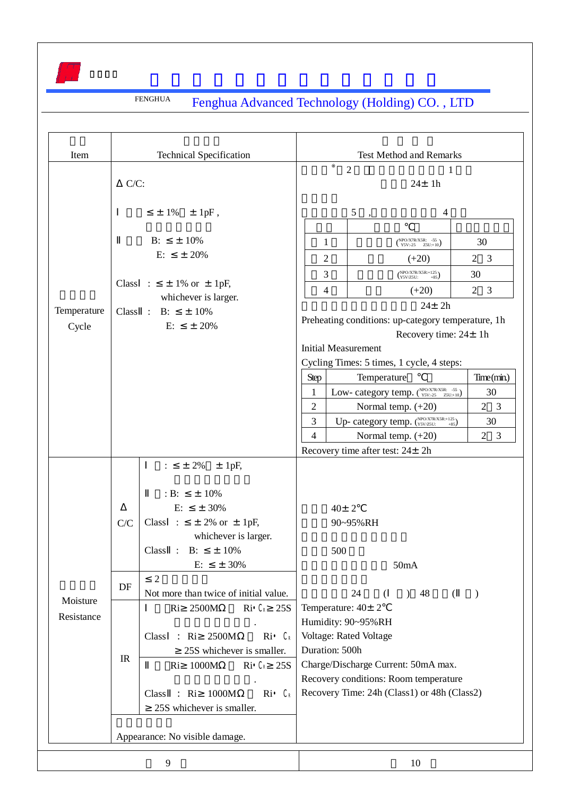| <b>Test Method and Remarks</b><br>Item<br><b>Technical Specification</b><br>$\overline{2}$<br>1<br>$C/C$ :<br>$24 \pm 1h$<br>5<br>$\pm$ 1% $\pm$ 1pF,<br>4<br>$B$ :<br>$±10\%$<br>$NPO/X7R/X5R: -55Y5V:-25Z5U:+10)$<br>30<br>1<br>E:<br>± 20%<br>$2 \quad 3$<br>2<br>$(+20)$<br>$NPO/X7R/X5R:+125\nY5V/Z5U:$ +85)<br>3<br>30<br>Class : $\pm$ 1% or $\pm$ 1pF,<br>3<br>4<br>$\overline{2}$<br>$(+20)$<br>whichever is larger.<br>$24 \pm 2h$<br>Temperature<br>Class : B:<br>$±10\%$<br>Preheating conditions: up-category temperature, 1h<br>E:<br>$\pm$ 20%<br>Cycle<br>Recovery time: $24 \pm 1h$<br><b>Initial Measurement</b><br>Cycling Times: 5 times, 1 cycle, 4 steps:<br>Time(min)<br>Temperature<br>Step<br>Low-category temp. (NPO/X7R/X5R: -55)<br>30<br>1<br>$\overline{2}$<br>$2 \quad 3$<br>Normal temp. (+20)<br>Up-category temp. (NPO/X7R/X5R:+125)<br>3<br>30<br>Normal temp. (+20)<br>$\overline{4}$<br>$2 \quad 3$<br>Recovery time after test: 24± 2h<br>$± 2\%$<br>$±$ 1pF,<br>$\ddot{\cdot}$<br>$B$ :<br>$±10\%$<br>E:<br>$± 30\%$<br>$40 \pm 2$<br>Class :<br>$\pm$ 2% or $\pm$ 1pF,<br>C/C<br>90~95%RH<br>whichever is larger.<br>$±10\%$<br>Class:<br>$B$ :<br>500<br>$± 30\%$<br>E:<br>50mA<br>$\overline{2}$<br>DF<br>Not more than twice of initial value.<br>24<br>) 48<br>$\left($<br>$\lambda$<br>€<br>Moisture<br>Ri 2500M<br>Temperature: $40 \pm 2$<br>$\text{Ri}$ $\mathcal{L}$ 25S<br>Resistance<br>Humidity: 90~95%RH<br>Voltage: Rated Voltage<br>2500M<br>Ri<br>€<br>Class<br>: Ri<br>Duration: 500h<br>25S whichever is smaller.<br>$_{\rm IR}$<br>Charge/Discharge Current: 50mA max.<br>Ri C 25S<br>1000M<br>Ri<br>Recovery conditions: Room temperature<br>Recovery Time: 24h (Class1) or 48h (Class2)<br>Ri<br>1000M<br>€<br>: Ri<br>Class<br>25S whichever is smaller.<br>Appearance: No visible damage.<br>9<br>10 |  | <b>FENGHUA</b> |  | Fenghua Advanced Technology (Holding) CO., LTD |  |  |
|---------------------------------------------------------------------------------------------------------------------------------------------------------------------------------------------------------------------------------------------------------------------------------------------------------------------------------------------------------------------------------------------------------------------------------------------------------------------------------------------------------------------------------------------------------------------------------------------------------------------------------------------------------------------------------------------------------------------------------------------------------------------------------------------------------------------------------------------------------------------------------------------------------------------------------------------------------------------------------------------------------------------------------------------------------------------------------------------------------------------------------------------------------------------------------------------------------------------------------------------------------------------------------------------------------------------------------------------------------------------------------------------------------------------------------------------------------------------------------------------------------------------------------------------------------------------------------------------------------------------------------------------------------------------------------------------------------------------------------------------------------------------------------------------------------------------------------------------------------------------|--|----------------|--|------------------------------------------------|--|--|
|                                                                                                                                                                                                                                                                                                                                                                                                                                                                                                                                                                                                                                                                                                                                                                                                                                                                                                                                                                                                                                                                                                                                                                                                                                                                                                                                                                                                                                                                                                                                                                                                                                                                                                                                                                                                                                                                     |  |                |  |                                                |  |  |
|                                                                                                                                                                                                                                                                                                                                                                                                                                                                                                                                                                                                                                                                                                                                                                                                                                                                                                                                                                                                                                                                                                                                                                                                                                                                                                                                                                                                                                                                                                                                                                                                                                                                                                                                                                                                                                                                     |  |                |  |                                                |  |  |
|                                                                                                                                                                                                                                                                                                                                                                                                                                                                                                                                                                                                                                                                                                                                                                                                                                                                                                                                                                                                                                                                                                                                                                                                                                                                                                                                                                                                                                                                                                                                                                                                                                                                                                                                                                                                                                                                     |  |                |  |                                                |  |  |
|                                                                                                                                                                                                                                                                                                                                                                                                                                                                                                                                                                                                                                                                                                                                                                                                                                                                                                                                                                                                                                                                                                                                                                                                                                                                                                                                                                                                                                                                                                                                                                                                                                                                                                                                                                                                                                                                     |  |                |  |                                                |  |  |
|                                                                                                                                                                                                                                                                                                                                                                                                                                                                                                                                                                                                                                                                                                                                                                                                                                                                                                                                                                                                                                                                                                                                                                                                                                                                                                                                                                                                                                                                                                                                                                                                                                                                                                                                                                                                                                                                     |  |                |  |                                                |  |  |
|                                                                                                                                                                                                                                                                                                                                                                                                                                                                                                                                                                                                                                                                                                                                                                                                                                                                                                                                                                                                                                                                                                                                                                                                                                                                                                                                                                                                                                                                                                                                                                                                                                                                                                                                                                                                                                                                     |  |                |  |                                                |  |  |
|                                                                                                                                                                                                                                                                                                                                                                                                                                                                                                                                                                                                                                                                                                                                                                                                                                                                                                                                                                                                                                                                                                                                                                                                                                                                                                                                                                                                                                                                                                                                                                                                                                                                                                                                                                                                                                                                     |  |                |  |                                                |  |  |
|                                                                                                                                                                                                                                                                                                                                                                                                                                                                                                                                                                                                                                                                                                                                                                                                                                                                                                                                                                                                                                                                                                                                                                                                                                                                                                                                                                                                                                                                                                                                                                                                                                                                                                                                                                                                                                                                     |  |                |  |                                                |  |  |
|                                                                                                                                                                                                                                                                                                                                                                                                                                                                                                                                                                                                                                                                                                                                                                                                                                                                                                                                                                                                                                                                                                                                                                                                                                                                                                                                                                                                                                                                                                                                                                                                                                                                                                                                                                                                                                                                     |  |                |  |                                                |  |  |
|                                                                                                                                                                                                                                                                                                                                                                                                                                                                                                                                                                                                                                                                                                                                                                                                                                                                                                                                                                                                                                                                                                                                                                                                                                                                                                                                                                                                                                                                                                                                                                                                                                                                                                                                                                                                                                                                     |  |                |  |                                                |  |  |
|                                                                                                                                                                                                                                                                                                                                                                                                                                                                                                                                                                                                                                                                                                                                                                                                                                                                                                                                                                                                                                                                                                                                                                                                                                                                                                                                                                                                                                                                                                                                                                                                                                                                                                                                                                                                                                                                     |  |                |  |                                                |  |  |
|                                                                                                                                                                                                                                                                                                                                                                                                                                                                                                                                                                                                                                                                                                                                                                                                                                                                                                                                                                                                                                                                                                                                                                                                                                                                                                                                                                                                                                                                                                                                                                                                                                                                                                                                                                                                                                                                     |  |                |  |                                                |  |  |
|                                                                                                                                                                                                                                                                                                                                                                                                                                                                                                                                                                                                                                                                                                                                                                                                                                                                                                                                                                                                                                                                                                                                                                                                                                                                                                                                                                                                                                                                                                                                                                                                                                                                                                                                                                                                                                                                     |  |                |  |                                                |  |  |
|                                                                                                                                                                                                                                                                                                                                                                                                                                                                                                                                                                                                                                                                                                                                                                                                                                                                                                                                                                                                                                                                                                                                                                                                                                                                                                                                                                                                                                                                                                                                                                                                                                                                                                                                                                                                                                                                     |  |                |  |                                                |  |  |
|                                                                                                                                                                                                                                                                                                                                                                                                                                                                                                                                                                                                                                                                                                                                                                                                                                                                                                                                                                                                                                                                                                                                                                                                                                                                                                                                                                                                                                                                                                                                                                                                                                                                                                                                                                                                                                                                     |  |                |  |                                                |  |  |
|                                                                                                                                                                                                                                                                                                                                                                                                                                                                                                                                                                                                                                                                                                                                                                                                                                                                                                                                                                                                                                                                                                                                                                                                                                                                                                                                                                                                                                                                                                                                                                                                                                                                                                                                                                                                                                                                     |  |                |  |                                                |  |  |
|                                                                                                                                                                                                                                                                                                                                                                                                                                                                                                                                                                                                                                                                                                                                                                                                                                                                                                                                                                                                                                                                                                                                                                                                                                                                                                                                                                                                                                                                                                                                                                                                                                                                                                                                                                                                                                                                     |  |                |  |                                                |  |  |
|                                                                                                                                                                                                                                                                                                                                                                                                                                                                                                                                                                                                                                                                                                                                                                                                                                                                                                                                                                                                                                                                                                                                                                                                                                                                                                                                                                                                                                                                                                                                                                                                                                                                                                                                                                                                                                                                     |  |                |  |                                                |  |  |
|                                                                                                                                                                                                                                                                                                                                                                                                                                                                                                                                                                                                                                                                                                                                                                                                                                                                                                                                                                                                                                                                                                                                                                                                                                                                                                                                                                                                                                                                                                                                                                                                                                                                                                                                                                                                                                                                     |  |                |  |                                                |  |  |

 $\int_{\Omega} d\tau$